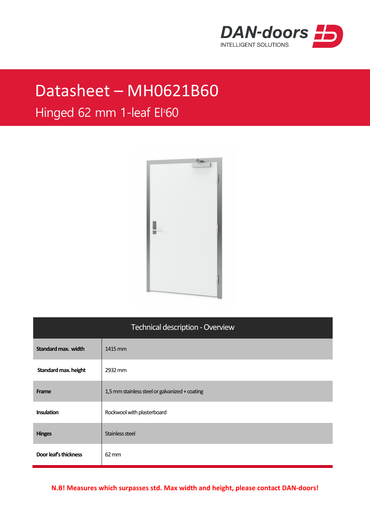

## Datasheet – MH0621B60

## Hinged 62 mm 1-leaf EI²60



| Technical description - Overview |                                                |  |
|----------------------------------|------------------------------------------------|--|
| Standard max. width              | 1415 mm                                        |  |
| Standard max. height             | 2932 mm                                        |  |
| Frame                            | 1,5 mm stainless steel or galvanized + coating |  |
| <b>Insulation</b>                | Rockwool with plasterboard                     |  |
| <b>Hinges</b>                    | Stainless steel                                |  |
| Door leaf's thickness            | $62 \, \mathrm{mm}$                            |  |

**N.B! Measures which surpasses std. Max width and height, please contact DAN-doors!**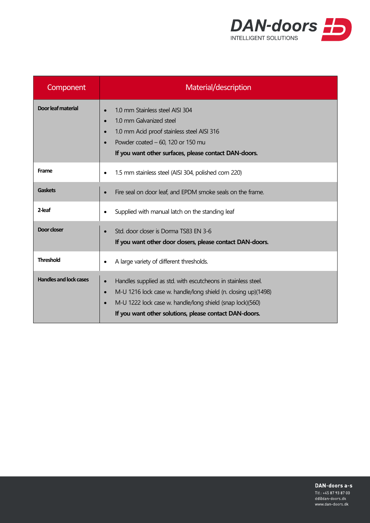

| Component                     | Material/description                                                                                                                                                                                                                                                                          |
|-------------------------------|-----------------------------------------------------------------------------------------------------------------------------------------------------------------------------------------------------------------------------------------------------------------------------------------------|
| Door leaf material            | 1.0 mm Stainless steel AISI 304<br>1.0 mm Galvanized steel<br>1.0 mm Acid proof stainless steel AISI 316<br>Powder coated $-60$ , 120 or 150 mu<br>If you want other surfaces, please contact DAN-doors.                                                                                      |
| Frame                         | 1.5 mm stainless steel (AISI 304, polished corn 220)<br>$\bullet$                                                                                                                                                                                                                             |
| <b>Gaskets</b>                | Fire seal on door leaf, and EPDM smoke seals on the frame.                                                                                                                                                                                                                                    |
| 2-leaf                        | Supplied with manual latch on the standing leaf                                                                                                                                                                                                                                               |
| Door closer                   | Std. door closer is Dorma TS83 EN 3-6<br>If you want other door dosers, please contact DAN-doors.                                                                                                                                                                                             |
| <b>Threshold</b>              | A large variety of different thresholds.<br>$\bullet$                                                                                                                                                                                                                                         |
| <b>Handles and lock cases</b> | Handles supplied as std. with escutcheons in stainless steel.<br>$\bullet$<br>M-U 1216 lock case w. handle/long shield (n. closing up)(1498)<br>$\bullet$<br>M-U 1222 lock case w. handle/long shield (snap lock)(560)<br>$\bullet$<br>If you want other solutions, please contact DAN-doors. |

DAN-doors a-s

Tlf.: +45 87 93 87 00 dd@dan-doors.dk www.dan-doors.dk